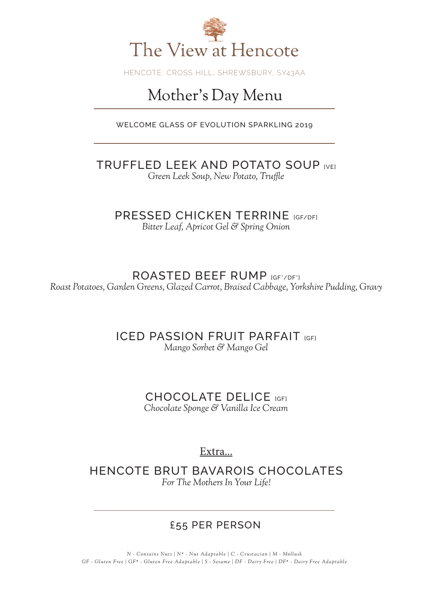

HENCOTE, CROSS HILL, SHREWSBURY, SY43AA

## Mother's Day Menu

WELCOME GLASS OF EVOLUTION SPARKLING 2019

TRUFFLED LEEK AND POTATO SOUP [VE] *Green Leek Soup, New Potato, Truffle*

PRESSED CHICKEN TERRINE [GF/DF] *Bitter Leaf, Apricot Gel & Spring Onion*

ROASTED BEEF RUMP [GF\*/DF\*] *Roast Potatoes, Garden Greens, Glazed Carrot, Braised Cabbage, Yorkshire Pudding, Gravy*

> **ICED PASSION FRUIT PARFAIT [GF]** *Mango Sorbet & Mango Gel*

> > CHOCOLATE DELICE [GF] *Chocolate Sponge & Vanilla Ice Cream*

> > > Extra...

HENCOTE BRUT BAVAROIS CHOCOLATES *For The Mothers In Your Life!*

### £55 PER PERSON

*N - Contains Nuts | N\* - Nut Adaptable | C - Crustacian | M - Mollusk GF - Gluten Free | GF\* - Gluten Free Adaptable | S - Sesame | DF - Dairy Free | DF\* - Dairy Free Adaptable*